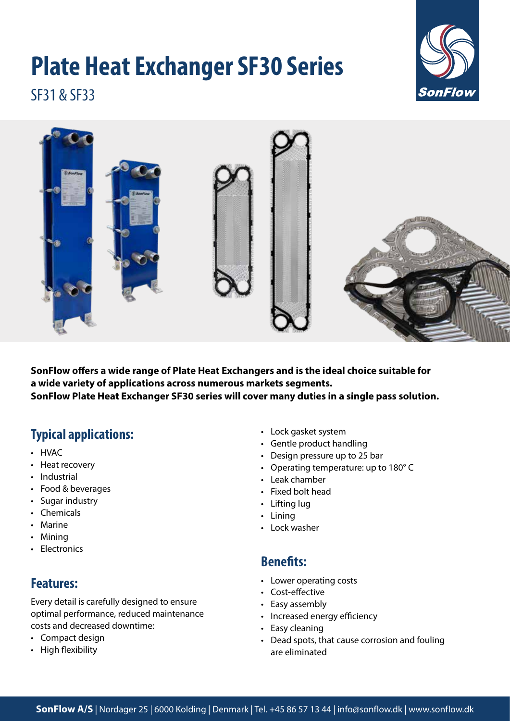# **Plate Heat Exchanger SF30 Series**



SF31 & SF33



**SonFlow offers a wide range of Plate Heat Exchangers and is the ideal choice suitable for a wide variety of applications across numerous markets segments. SonFlow Plate Heat Exchanger SF30 series will cover many duties in a single pass solution.** 

# **Typical applications:**

- HVAC
- Heat recovery
- Industrial
- Food & beverages
- Sugar industry
- Chemicals
- Marine
- Mining
- Electronics

### **Features:**

Every detail is carefully designed to ensure optimal performance, reduced maintenance costs and decreased downtime:

- Compact design
- High flexibility
- Lock gasket system
- Gentle product handling
- Design pressure up to 25 bar
- Operating temperature: up to 180° C
- Leak chamber
- Fixed bolt head
- Lifting lug
- Lining
- Lock washer

#### **Benefits:**

- Lower operating costs
- Cost-effective
- Easy assembly
- Increased energy efficiency
- Easy cleaning
- Dead spots, that cause corrosion and fouling are eliminated